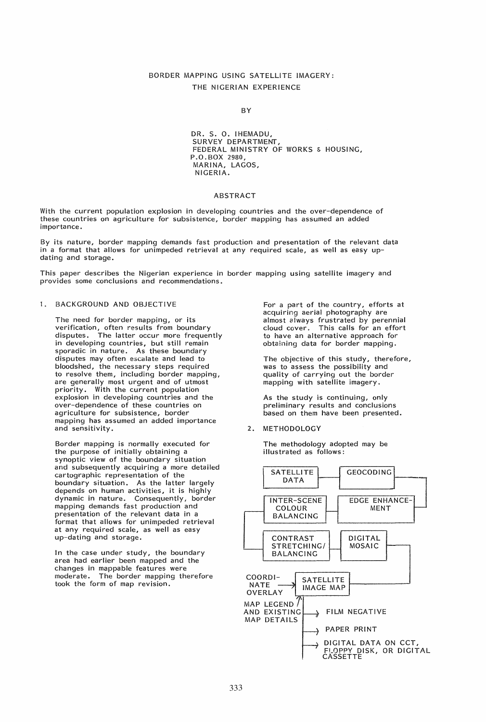# BORDER MAPPING USING SATELLITE IMAGERY: THE NIGERIAN EXPERIENCE

#### **BY**

DR. S. O. IHEMADU, SURVEY DEPARTMENT, FEDERAL MINISTRY OF WORKS & HOUSING, P.O.BOX 2980, MARINA, LAGOS, NiGERIA.

#### ABSTRACT

With the current population explosion in developing countries and the over-dependence of these countries on agriculture for subsistence, border mapping has assumed an added importance.

By its nature, border mapping demands fast production and presentation of the relevant data in a format that allows for unimpeded retrieval at any required scale, as well as easy updating and storage.

This paper describes the Nigerian experience in border mapping using satellite imagery and provides some conclusions and recommendations.

### 1. BACKGROUND AND OBJECTIVE

The need for border mapping, or its verification, often results from boundary disputes. The latter occur more frequently in developing countries, but still remain sporadic in nature. As these boundary disputes may often escalate and lead to bloodshed, the necessary steps required to resolve them, including border mapping, are generally most urgent and of utmost priority. With the current population explosion in developing countries and the over-dependence of these countries on agriculture for subsistence, border mapping has assumed an added importance and sensitivity.

Border mapping is normally executed for the purpose of initially obtaining a synoptic view of the boundary situation and subsequently acquiring a more detailed cartographic representation of the boundary situation. As the latter largely depends on human activities, it is highly dynamic in nature. Consequently, border mapping demands fast production and presentation of the relevant data in a format that allows for unimpeded retrieval at any required scale, as well as easy up-dating and storage.

In the case under study, the boundary area had earlier been mapped and the changes in mappable features were moderate. The border mapping therefore took the form of map revision.

For a part of the country, efforts at acquiring aerial photography are almost always frustrated by perennial cloud cover. This calls for an effort to have an alternative approach for obtaining data for border mapping.

The objective of this study, therefore, was to assess the possibility and quality of carrying out the border mapping with satellite imagery.

As the study is continuing, only preliminary results and conclusions based on them have been presented.

2. METHODOLOGY

The methodology adopted may be illustrated as follows:

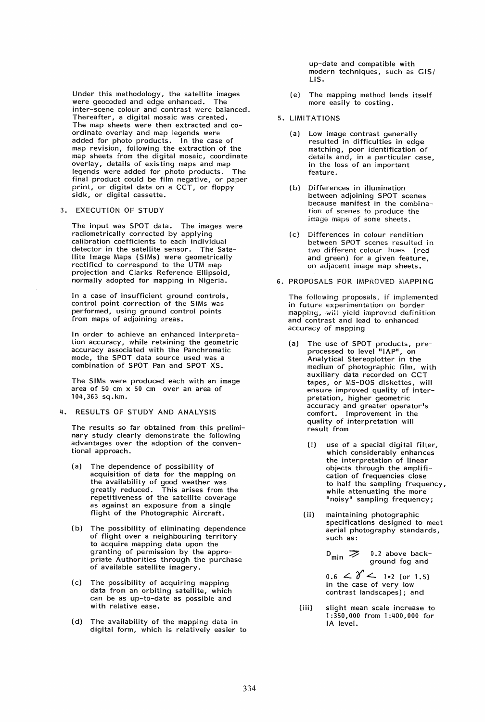Under this methodology, the satellite images were geocoded and edge enhanced. The inter-scene colour and contrast were balanced. Thereafter, a digital mosaic was created. The map sheets were then extracted and coordinate overlay and map legends were added for photo products. In the case of map revision, following the extraction of the map sheets from the digital mosaic, coordinate overlay, details of existing maps and map legends were added for photo products. The final product could be film negative, or paper print, or digital data on a CCT, or floppy sidk, or digital cassette.

### 3. EXECUTION OF STUDY

The input was SPOT data. The images were radiometrically corrected by applying calibration coefficients to each individual detector in the satellite sensor. The Satellite Image Maps (SIMs) were geometrically rectified to correspond to the UTM map projection and Clarks Reference Ellipsoid, normally adopted for mapping in Nigeria.

In a case of insufficient ground controls, control point correction of the SIMs was performed, using ground control points from maps of adjoining areas.

In order to achieve an enhanced interpretation accuracy, while retaining the geometric accuracy associated with the Panchromatic mode, the SPOT data source used was a combination of SPOT Pan and SPOT XS.

The SIMs were produced each with an image area of 50 cm x 50 cm over an area of 104,363 sq.km.

#### 4. RESULTS OF STUDY AND ANALYSIS

The results so far obtained from this preliminary study clearly demonstrate the following advantages over the adoption of the conventional approach.

- (a) The dependence of possibility of acquisition of data for the mapping on the availability of good weather was greatly reduced. This arises from the repetitiveness of the satellite coverage as against an exposure from a single flight of the Photographic Aircraft.
- (b) The possibility of eliminating dependence of flight over a neighbouring territory to acquire mapping data upon the granting of permission by the appropriate Authorities through the purchase of available satellite imagery.
- (c) The possibility of acquiring mapping data from an orbiting satellite, which can be as up-to-date as possible and with relative ease.
- (d) The availability of the mapping data in digital form, which is relatively easier to

up-date and compatible with modern techniques, such as GIS/ LIS.

- (e) The mapping method lends itself more easily to costing.
- 5. LIMITATIONS
	- (a) Low image contrast generally resulted in difficulties in edge matching, poor identification of details and, in a particular case, in the loss of an important feature.
	- (b) Differences in illumination between adjoining SPOT scenes because manifest in the combination of scenes to produce the image maps of some sheets.
	- (c) Differences in colour rendition between SPOT scenes resulted in two different colour hues (red and green) for a given feature, on adjacent image map sheets.
- 6. PROPOSALS FOR IMPROVED MAPPING

The following proposals, if implemented in future experimentation on border mapping, will yield improved definition and contrast and lead to enhanced accuracy of mapping

- (a) The use of SPOT products, preprocessed to level "IAP", on Analytical Stereoplotter in the medium of photographic film, with auxiliary data recorded on CCT tapes, or MS-DOS diskettes, will ensure improved quality of interpretation, higher geometric accuracy and greater operator's comfort. Improvement in the quality of interpretation will result from
	- 0) use of a special digital filter, which considerably enhances the interpretation of linear objects through the amplification of frequencies close to half the sampling frequency, while attenuating the more "noisy" sampling frequency;
	- (ii) maintaining photographic specifications designed to meet aerial photography standards, such as:

 $D_{\text{min}} \ge 0.2$  above background fog and

 $0.6 \leq \delta'$   $\leq$  1.2 (or 1.5) in the case of very low contrast landscapes); and

(iii) slight mean scale increase to 1 :350,000 from 1 :400,000 for IA level.